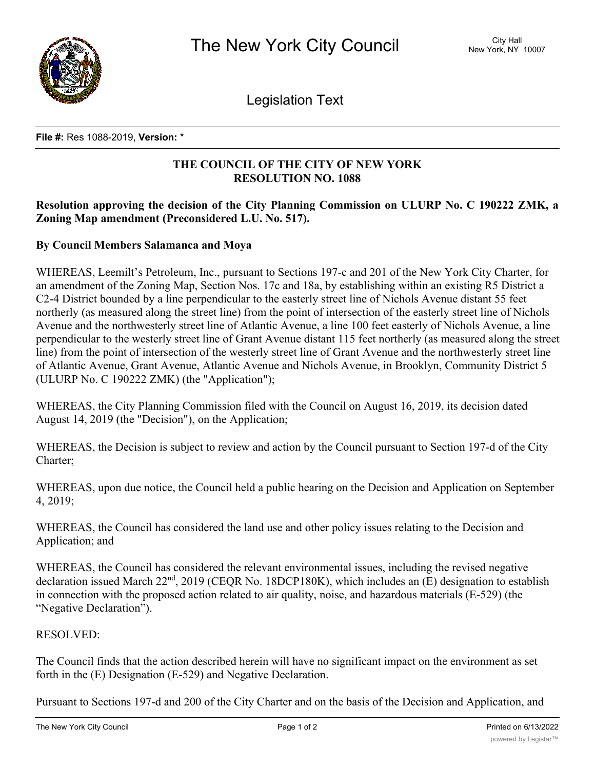

Legislation Text

#### **File #:** Res 1088-2019, **Version:** \*

# **THE COUNCIL OF THE CITY OF NEW YORK RESOLUTION NO. 1088**

# **Resolution approving the decision of the City Planning Commission on ULURP No. C 190222 ZMK, a Zoning Map amendment (Preconsidered L.U. No. 517).**

## **By Council Members Salamanca and Moya**

WHEREAS, Leemilt's Petroleum, Inc., pursuant to Sections 197-c and 201 of the New York City Charter, for an amendment of the Zoning Map, Section Nos. 17c and 18a, by establishing within an existing R5 District a C2-4 District bounded by a line perpendicular to the easterly street line of Nichols Avenue distant 55 feet northerly (as measured along the street line) from the point of intersection of the easterly street line of Nichols Avenue and the northwesterly street line of Atlantic Avenue, a line 100 feet easterly of Nichols Avenue, a line perpendicular to the westerly street line of Grant Avenue distant 115 feet northerly (as measured along the street line) from the point of intersection of the westerly street line of Grant Avenue and the northwesterly street line of Atlantic Avenue, Grant Avenue, Atlantic Avenue and Nichols Avenue, in Brooklyn, Community District 5 (ULURP No. C 190222 ZMK) (the "Application");

WHEREAS, the City Planning Commission filed with the Council on August 16, 2019, its decision dated August 14, 2019 (the "Decision"), on the Application;

WHEREAS, the Decision is subject to review and action by the Council pursuant to Section 197-d of the City Charter;

WHEREAS, upon due notice, the Council held a public hearing on the Decision and Application on September 4, 2019;

WHEREAS, the Council has considered the land use and other policy issues relating to the Decision and Application; and

WHEREAS, the Council has considered the relevant environmental issues, including the revised negative declaration issued March  $22<sup>nd</sup>$ ,  $2019$  (CEQR No. 18DCP180K), which includes an (E) designation to establish in connection with the proposed action related to air quality, noise, and hazardous materials (E-529) (the "Negative Declaration").

## RESOLVED:

The Council finds that the action described herein will have no significant impact on the environment as set forth in the (E) Designation (E-529) and Negative Declaration.

Pursuant to Sections 197-d and 200 of the City Charter and on the basis of the Decision and Application, and